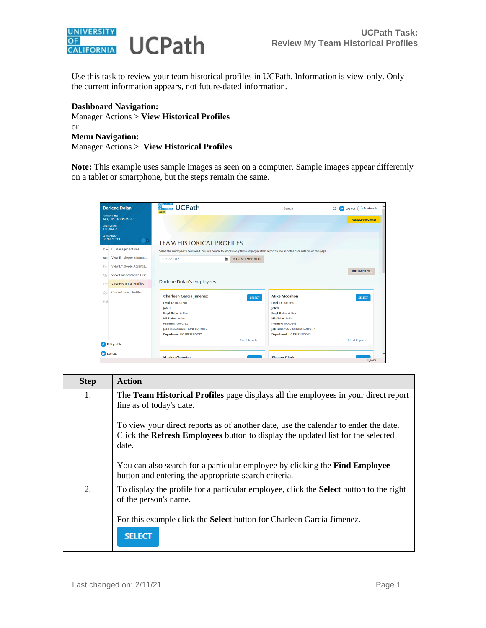

Use this task to review your team historical profiles in UCPath. Information is view-only. Only the current information appears, not future-dated information.

## **Dashboard Navigation:**

Manager Actions > **View Historical Profiles** or **Menu Navigation:** Manager Actions > **View Historical Profiles**

Note: This example uses sample images as seen on a computer. Sample images appear differently on a tablet or smartphone, but the steps remain the same.

| <b>Darlene Dolan</b>                               | <b><i>INIVERSITY</i></b><br><b>UCPath</b><br>OF<br>CALIFORNIA<br>drptrn                                                                    | <b>Search</b>                     | <b>D</b> Log out<br>Q<br><b>Bookmark</b> |
|----------------------------------------------------|--------------------------------------------------------------------------------------------------------------------------------------------|-----------------------------------|------------------------------------------|
| <b>Primary Title:</b><br><b>ACQUISITIONS MGR 1</b> |                                                                                                                                            |                                   | <b>Ask UCPath Center</b>                 |
| <b>Employee ID:</b><br>10000452                    |                                                                                                                                            |                                   |                                          |
| <b>Service Date:</b><br>08/01/2013                 | O<br><b>TEAM HISTORICAL PROFILES</b>                                                                                                       |                                   |                                          |
| <b>Manager Actions</b><br>◇<br>Das                 | Select the employee to be viewed. You will be able to process only those employees that report to you as of the date entered on this page. |                                   |                                          |
| View Employee Informat<br>Boc                      | 鯩<br><b>REFRESH EMPLOYEES</b><br>10/16/2017                                                                                                |                                   |                                          |
| View Employee Absence<br>Emr                       |                                                                                                                                            |                                   |                                          |
| View Compensation Hist<br>Mar                      |                                                                                                                                            |                                   | <b>FIND EMPLOYEE</b>                     |
| <b>View Historical Profiles</b><br>For             | Darlene Dolan's employees                                                                                                                  |                                   |                                          |
| <b>Current Team Profiles</b><br>Oui                | <b>Charleen Garcia Jimenez</b><br><b>SELECT</b>                                                                                            | <b>Mike Mccahon</b>               | <b>SELECT</b>                            |
| Hel                                                | Empl ID: 10001581                                                                                                                          | Empl ID: 10000301                 |                                          |
|                                                    | $\mathsf{lob}$ : 0                                                                                                                         | $\mathsf{lob}$ : 0                |                                          |
|                                                    | <b>Empl Status: Active</b>                                                                                                                 | <b>Empl Status: Active</b>        |                                          |
|                                                    | <b>HR Status: Active</b>                                                                                                                   | <b>HR Status: Active</b>          |                                          |
|                                                    | <b>Position: 40000381</b>                                                                                                                  | <b>Position: 40000241</b>         |                                          |
|                                                    | Job Title: ACQUISITIONS EDITOR 5                                                                                                           | Job Title: ACQUISITIONS EDITOR 4  |                                          |
|                                                    | <b>Department: UC PRESS BOOKS</b>                                                                                                          | <b>Department: UC PRESS BOOKS</b> |                                          |
| $\bullet$ Edit profile                             | Direct Reports ~                                                                                                                           |                                   | Direct Reports ~                         |
|                                                    |                                                                                                                                            |                                   |                                          |
| <b>E</b> Log out                                   | <b>Harlow Goggins</b>                                                                                                                      | <b>Staven Clark</b>               | $\checkmark$                             |
|                                                    |                                                                                                                                            |                                   | 电100% -                                  |

| <b>Step</b> | <b>Action</b>                                                                                                                                                                   |
|-------------|---------------------------------------------------------------------------------------------------------------------------------------------------------------------------------|
| 1.          | The <b>Team Historical Profiles</b> page displays all the employees in your direct report<br>line as of today's date.                                                           |
|             | To view your direct reports as of another date, use the calendar to ender the date.<br>Click the Refresh Employees button to display the updated list for the selected<br>date. |
|             | You can also search for a particular employee by clicking the <b>Find Employee</b><br>button and entering the appropriate search criteria.                                      |
| 2.          | To display the profile for a particular employee, click the <b>Select</b> button to the right<br>of the person's name.                                                          |
|             | For this example click the <b>Select</b> button for Charleen Garcia Jimenez.<br><b>SELECT</b>                                                                                   |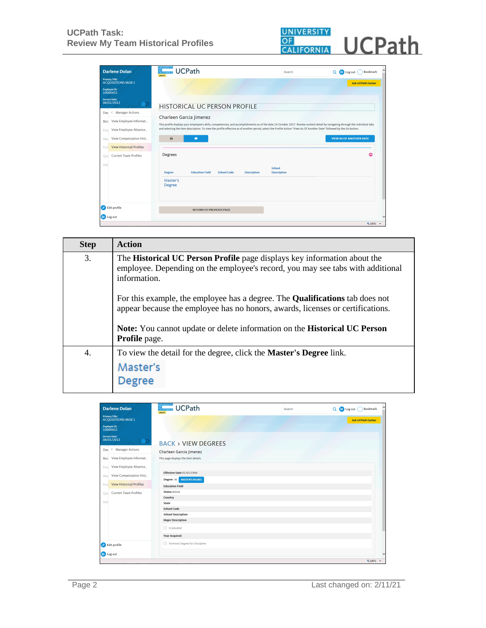

| <b>Darlene Dolan</b>                                                                     | <b>UNIVERSITY</b><br><b>UCPath</b><br><b>OF</b><br>CALIFORNIA<br>drptrn                                                                                                                                                                                                                                                                                                              | Search                       | Q<br><b>E</b> Log out<br><b>Bookmark</b> |
|------------------------------------------------------------------------------------------|--------------------------------------------------------------------------------------------------------------------------------------------------------------------------------------------------------------------------------------------------------------------------------------------------------------------------------------------------------------------------------------|------------------------------|------------------------------------------|
| <b>Primary Title:</b><br><b>ACQUISITIONS MGR 1</b><br><b>Employee ID:</b>                |                                                                                                                                                                                                                                                                                                                                                                                      |                              | <b>Ask UCPath Center</b>                 |
| 10000452<br><b>Service Date:</b><br>08/01/2013<br>$\bullet$                              | <b>HISTORICAL UC PERSON PROFILE</b>                                                                                                                                                                                                                                                                                                                                                  |                              |                                          |
| ← Manager Actions<br>Das<br>View Employee Informat<br>Boc<br>View Employee Absence<br>Em | Charleen Garcia Jimenez<br>This profile displays your employee's skills, competencies, and accomplishments as of the date 16 October 2017. Review content detail by navigating through the individual tabs<br>and selecting the item description. To view the profile effective as of another period, select the Profile Action "View As Of Another Date" followed by the Go button. |                              |                                          |
| View Compensation Hist<br>Mar<br><b>View Historical Profiles</b><br>For                  | $\Theta$<br>$\bullet$                                                                                                                                                                                                                                                                                                                                                                |                              | <b>VIEW AS OF ANOTHER DATE</b>           |
| <b>Current Team Profiles</b><br>Oui<br>Hel                                               | <b>Degrees</b><br><b>Education Field</b><br><b>School Code</b><br><b>Degree</b><br><b>Description</b>                                                                                                                                                                                                                                                                                | School<br><b>Description</b> | $\sim$                                   |
|                                                                                          | Master's<br><b>Degree</b>                                                                                                                                                                                                                                                                                                                                                            |                              |                                          |
| <b>2</b> Edit profile<br><b>E</b> Log out                                                | <b>RETURN TO PREVIOUS PAGE</b>                                                                                                                                                                                                                                                                                                                                                       |                              |                                          |
|                                                                                          |                                                                                                                                                                                                                                                                                                                                                                                      |                              | ● 100% ▼                                 |

| <b>Step</b> | <b>Action</b>                                                                                                                                                                                                                                                                     |  |  |
|-------------|-----------------------------------------------------------------------------------------------------------------------------------------------------------------------------------------------------------------------------------------------------------------------------------|--|--|
| 3.          | The Historical UC Person Profile page displays key information about the<br>employee. Depending on the employee's record, you may see tabs with additional<br>information.                                                                                                        |  |  |
|             | For this example, the employee has a degree. The <b>Qualifications</b> tab does not<br>appear because the employee has no honors, awards, licenses or certifications.<br><b>Note:</b> You cannot update or delete information on the <b>Historical UC Person</b><br>Profile page. |  |  |
|             |                                                                                                                                                                                                                                                                                   |  |  |
| 4.          | To view the detail for the degree, click the <b>Master's Degree</b> link.                                                                                                                                                                                                         |  |  |
|             | Master's<br>Degree                                                                                                                                                                                                                                                                |  |  |

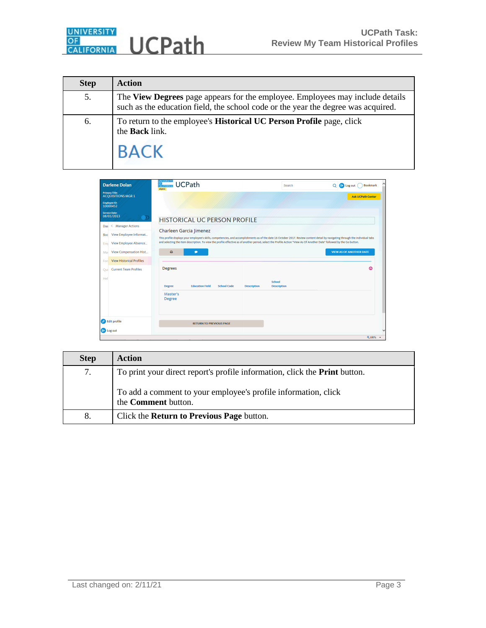

| <b>Step</b> | <b>Action</b>                                                                                                                                                   |
|-------------|-----------------------------------------------------------------------------------------------------------------------------------------------------------------|
| 5.          | The View Degrees page appears for the employee. Employees may include details such as the education field, the school code or the year the degree was acquired. |
| 6.          | To return to the employee's <b>Historical UC Person Profile</b> page, click<br>the <b>Back</b> link.<br><b>BACK</b>                                             |

| <b>Darlene Dolan</b>                                                                                | UNIVERSITY<br>OF<br>CALIFORNIA<br><b>UCPath</b><br>drptrn                                                                                                                                                                                                                                                                                                                            | Search                       | $\Omega$<br>D Log out<br><b>Bookmark</b><br>11 |
|-----------------------------------------------------------------------------------------------------|--------------------------------------------------------------------------------------------------------------------------------------------------------------------------------------------------------------------------------------------------------------------------------------------------------------------------------------------------------------------------------------|------------------------------|------------------------------------------------|
| <b>Primary Title:</b><br><b>ACQUISITIONS MGR 1</b><br><b>Employee ID:</b>                           |                                                                                                                                                                                                                                                                                                                                                                                      |                              | <b>Ask UCPath Center</b>                       |
| 10000452<br><b>Service Date:</b><br>08/01/2013<br>$\bullet$                                         | <b>HISTORICAL UC PERSON PROFILE</b>                                                                                                                                                                                                                                                                                                                                                  |                              |                                                |
| <b>Manager Actions</b><br>◇<br>Das<br>View Employee Informat<br>Boc<br>View Employee Absence<br>Emr | Charleen Garcia Jimenez<br>This profile displays your employee's skills, competencies, and accomplishments as of the date 16 October 2017. Review content detail by navigating through the individual tabs<br>and selecting the item description. To view the profile effective as of another period, select the Profile Action "View As Of Another Date" followed by the Go button. |                              |                                                |
| View Compensation Hist<br>Mar<br><b>View Historical Profiles</b><br>For                             | ₿<br>$\bullet$                                                                                                                                                                                                                                                                                                                                                                       |                              | <b>VIEW AS OF ANOTHER DATE</b>                 |
| <b>Current Team Profiles</b><br>Oui<br>Hel                                                          | <b>Degrees</b><br><b>Education Field</b><br><b>School Code</b><br><b>Description</b><br><b>Degree</b><br>Master's<br><b>Degree</b>                                                                                                                                                                                                                                                   | School<br><b>Description</b> | ۵                                              |
| $\bullet$ Edit profile<br><b>E</b> Log out                                                          | <b>RETURN TO PREVIOUS PAGE</b>                                                                                                                                                                                                                                                                                                                                                       |                              | ● 100% ▼                                       |

| <b>Step</b> | <b>Action</b>                                                                                |
|-------------|----------------------------------------------------------------------------------------------|
| 7.          | To print your direct report's profile information, click the <b>Print</b> button.            |
|             | To add a comment to your employee's profile information, click<br>the <b>Comment</b> button. |
| 8.          | Click the <b>Return to Previous Page</b> button.                                             |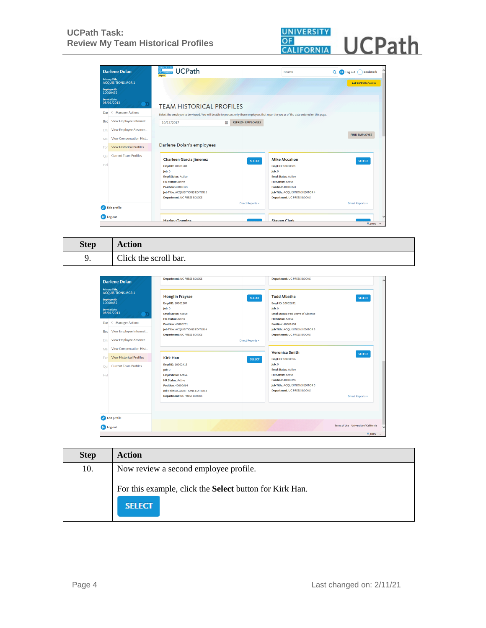

| <b>Darlene Dolan</b>                               | <b>UNIVERSITY</b><br><b>UCPath</b><br>OF CALIFORNIA<br>drptrn                                                                              |                          | Search                                                 | $\Theta$ Log out<br>$\Omega$<br><b>Bookmark</b> |
|----------------------------------------------------|--------------------------------------------------------------------------------------------------------------------------------------------|--------------------------|--------------------------------------------------------|-------------------------------------------------|
| <b>Primary Title:</b><br><b>ACQUISITIONS MGR 1</b> |                                                                                                                                            |                          |                                                        | <b>Ask UCPath Center</b>                        |
| <b>Employee ID:</b><br>10000452                    |                                                                                                                                            |                          |                                                        |                                                 |
| <b>Service Date:</b><br>08/01/2013<br>$\bullet$    | <b>TEAM HISTORICAL PROFILES</b>                                                                                                            |                          |                                                        |                                                 |
| ← Manager Actions<br>Das                           | Select the employee to be viewed. You will be able to process only those employees that report to you as of the date entered on this page. |                          |                                                        |                                                 |
| View Employee Informat<br>Boc                      | 兽<br>10/17/2017                                                                                                                            | <b>REFRESH EMPLOYEES</b> |                                                        |                                                 |
| View Employee Absence<br>Emr                       |                                                                                                                                            |                          |                                                        |                                                 |
| View Compensation Hist<br>Mar                      |                                                                                                                                            |                          |                                                        | <b>FIND EMPLOYEE</b>                            |
| <b>View Historical Profiles</b><br>For             | Darlene Dolan's employees                                                                                                                  |                          |                                                        |                                                 |
| <b>Current Team Profiles</b><br>Oui                | <b>Charleen Garcia Jimenez</b>                                                                                                             | <b>SELECT</b>            | <b>Mike Mccahon</b>                                    | <b>SELECT</b>                                   |
| Hel                                                | Empl ID: 10001581                                                                                                                          |                          | Empl ID: 10000301                                      |                                                 |
|                                                    | $\mathsf{lob}$ : 0                                                                                                                         |                          | $\mathsf{lob}$ : 0                                     |                                                 |
|                                                    | <b>Empl Status: Active</b>                                                                                                                 |                          | <b>Empl Status: Active</b><br><b>HR Status: Active</b> |                                                 |
|                                                    | <b>HR Status: Active</b><br>Position: 40000381                                                                                             |                          | Position: 40000241                                     |                                                 |
|                                                    | Job Title: ACQUISITIONS EDITOR 5                                                                                                           |                          | Job Title: ACQUISITIONS EDITOR 4                       |                                                 |
|                                                    | <b>Department: UC PRESS BOOKS</b>                                                                                                          |                          | <b>Department: UC PRESS BOOKS</b>                      |                                                 |
| <b>But profile</b>                                 |                                                                                                                                            | Direct Reports ~         |                                                        | Direct Reports ~                                |
| <b>E</b> Log out                                   | <b>Harley Goggins</b>                                                                                                                      |                          | Steven Clark                                           |                                                 |
|                                                    |                                                                                                                                            |                          |                                                        | 电100% -                                         |

| <b>Step</b> | <b>Action</b>         |
|-------------|-----------------------|
|             | Click the scroll bar. |

| <b>Darlene Dolan</b>                               | <b>Department: UC PRESS BOOKS</b>       | <b>Department: UC PRESS BOOKS</b>         |                  |
|----------------------------------------------------|-----------------------------------------|-------------------------------------------|------------------|
| <b>Primary Title:</b><br><b>ACQUISITIONS MGR 1</b> |                                         |                                           |                  |
|                                                    | <b>Honglin Fraysse</b><br><b>SELECT</b> | <b>Todd Mbatha</b>                        | <b>SELECT</b>    |
| <b>Employee ID:</b><br>10000452                    | Empl ID: 10001207                       | Empl ID: 10002631                         |                  |
| <b>Service Date:</b>                               | $\mathsf{lob}$ : 0                      | $\mathsf{lob}$ : $0$                      |                  |
| 08/01/2013<br>$\rightarrow$                        | <b>Empl Status: Active</b>              | <b>Empl Status: Paid Leave of Absence</b> |                  |
|                                                    | <b>HR Status: Active</b>                | <b>HR Status: Active</b>                  |                  |
| <b>Manager Actions</b><br>Das<br>◇                 | Position: 40000731                      | Position: 40001694                        |                  |
| View Employee Informat<br>Boc                      | Job Title: ACQUISITIONS EDITOR 4        | Job Title: ACQUISITIONS EDITOR 3          |                  |
|                                                    | <b>Department: UC PRESS BOOKS</b>       | <b>Department: UC PRESS BOOKS</b>         |                  |
| View Employee Absence<br>Emr                       | Direct Reports ~                        |                                           |                  |
|                                                    |                                         |                                           |                  |
| View Compensation Hist<br>Mar                      |                                         | <b>Veronica Smith</b>                     | <b>SELECT</b>    |
| <b>View Historical Profiles</b><br>Fori            | <b>Kirk Han</b><br><b>SELECT</b>        | Empl ID: 10000396                         |                  |
|                                                    | Empl ID: 10002415                       | $\mathbf{[ob:0]}$                         |                  |
| <b>Current Team Profiles</b><br>Oui                | $\mathsf{lob}$ : 0                      | <b>Empl Status: Active</b>                |                  |
| Hel                                                | <b>Empl Status: Active</b>              | <b>HR Status: Active</b>                  |                  |
|                                                    | <b>HR Status: Active</b>                | <b>Position: 40000295</b>                 |                  |
|                                                    | Position: 40000664                      | Job Title: ACQUISITIONS EDITOR 5          |                  |
|                                                    | Job Title: ACQUISITIONS EDITOR 4        | <b>Department: UC PRESS BOOKS</b>         |                  |
|                                                    | <b>Department: UC PRESS BOOKS</b>       |                                           | Direct Reports ~ |
|                                                    |                                         |                                           |                  |

| <b>Step</b> | <b>Action</b>                                                                   |
|-------------|---------------------------------------------------------------------------------|
| 10.         | Now review a second employee profile.                                           |
|             | For this example, click the <b>Select</b> button for Kirk Han.<br><b>SELECT</b> |